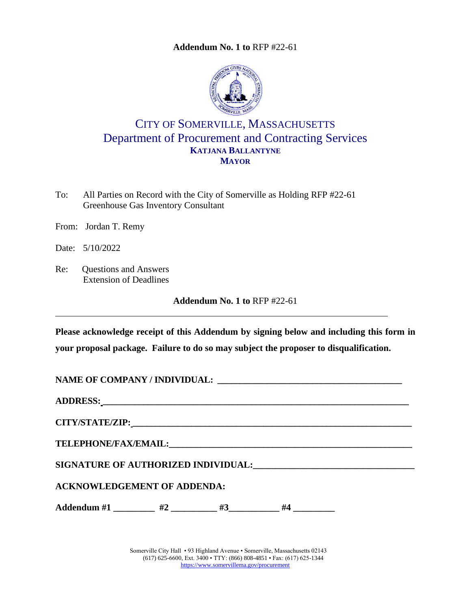**Addendum No. 1 to** [RFP #22-61](#page-0-0)

<span id="page-0-0"></span>

## CITY OF SOMERVILLE, MASSACHUSETTS Department of Procurement and Contracting Services **KATJANA BALLANTYNE MAYOR**

To: All Parties on Record with the City of Somerville as Holding RFP #22-61 Greenhouse Gas Inventory Consultant

From: Jordan T. Remy

Date: 5/10/2022

Re: Questions and Answers Extension of Deadlines

**Addendum No. 1 to** RFP #22-61

**Please acknowledge receipt of this Addendum by signing below and including this form in your proposal package. Failure to do so may subject the proposer to disqualification.**

NAME OF COMPANY / INDIVIDUAL:

**ADDRESS: \_\_\_\_\_\_\_\_\_\_\_\_\_\_\_\_\_\_\_\_\_\_\_\_\_\_\_\_\_\_\_\_\_\_\_\_\_\_\_\_\_\_\_\_\_\_\_\_\_\_\_\_\_\_\_\_\_\_\_\_\_\_\_\_\_\_\_\_**

**CITY/STATE/ZIP: \_\_\_\_\_\_\_\_\_\_\_\_\_\_\_\_\_\_\_\_\_\_\_\_\_\_\_\_\_\_\_\_\_\_\_\_\_\_\_\_\_\_\_\_\_\_\_\_\_\_\_\_\_\_\_\_\_\_\_\_\_\_**

 $\bf{TELEPHONE/FAX/EMAIL:}$ 

**SIGNATURE OF AUTHORIZED INDIVIDUAL:\_\_\_\_\_\_\_\_\_\_\_\_\_\_\_\_\_\_\_\_\_\_\_\_\_\_\_\_\_\_\_\_\_\_\_**

**ACKNOWLEDGEMENT OF ADDENDA:**

Addendum #1 \_\_\_\_\_\_\_\_ #2 \_\_\_\_\_\_\_\_ #3 \_\_\_\_\_\_\_ #4 \_\_\_\_\_\_\_\_

Somerville City Hall • 93 Highland Avenue • Somerville, Massachusetts 02143 (617) 625-6600, Ext. 3400 • TTY: (866) 808-4851 • Fax: (617) 625-1344 <https://www.somervillema.gov/procurement>